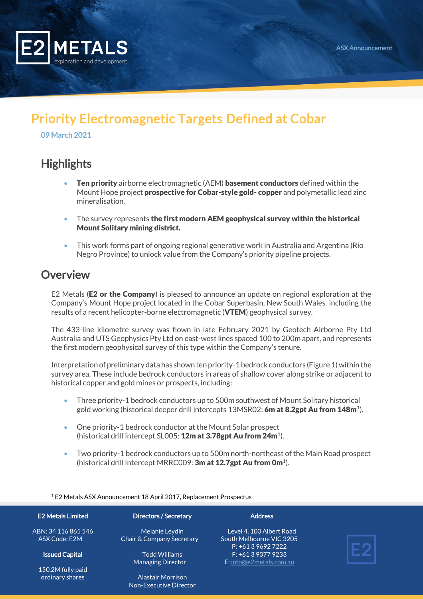

# Priority Electromagnetic Targets Defined at Cobar

09 March 2021

### **Highlights**

- **Ten priority** airborne electromagnetic (AEM) **basement conductors** defined within the Mount Hope project **prospective for Cobar-style gold- copper** and polymetallic lead zinc mineralisation.
- The survey represents the first modern AEM geophysical survey within the historical Mount Solitary mining district.
- This work forms part of ongoing regional generative work in Australia and Argentina (Rio Negro Province) to unlock value from the Company's priority pipeline projects.

#### **Overview**

E2 Metals (**E2 or the Company**) is pleased to announce an update on regional exploration at the Company's Mount Hope project located in the Cobar Superbasin, New South Wales, including the results of a recent helicopter-borne electromagnetic (VTEM) geophysical survey.

The 433-line kilometre survey was flown in late February 2021 by Geotech Airborne Pty Ltd Australia and UTS Geophysics Pty Ltd on east-west lines spaced 100 to 200m apart, and represents the first modern geophysical survey of this type within the Company's tenure.

Interpretation of preliminary data has shown ten priority-1 bedrock conductors (Figure 1) within the survey area. These include bedrock conductors in areas of shallow cover along strike or adjacent to historical copper and gold mines or prospects, including:

- Three priority-1 bedrock conductors up to 500m southwest of Mount Solitary historical gold working (historical deeper drill intercepts 13MSR02: **6m at 8.2gpt Au from 148m**<sup>1</sup>).
- One priority-1 bedrock conductor at the Mount Solar prospect (historical drill intercept SL005: 12m at 3.78gpt Au from 24m<sup>1</sup>).
- Two priority-1 bedrock conductors up to 500m north-northeast of the Main Road prospect (historical drill intercept MRRC009: 3m at 12.7gpt Au from 0m<sup>1</sup>).

<sup>1</sup> E2 Metals ASX Announcement 18 April 2017, Replacement Prospectus

#### E2 Metals Limited

ABN: 34 116 865 546 ASX Code: E2M

Issued Capital

150.2M fully paid ordinary shares

Directors / Secretary

Melanie Leydin Chair & Company Secretary

> Todd Williams Managing Director

Alastair Morrison Non-Executive Director **Address** 

Level 4, 100 Albert Road South Melbourne VIC 3205 P: +61 3 9692 7222 F: +61 3 9077 9233 E[: info@e2metals.com.au](mailto:info@e2metals.com.au)

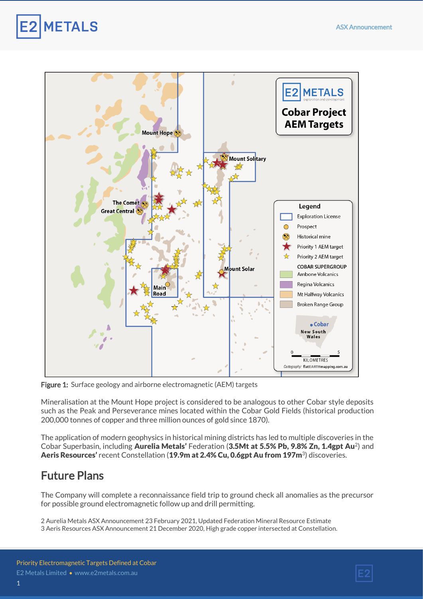**METALS** 



Figure 1: Surface geology and airborne electromagnetic (AEM) targets

Mineralisation at the Mount Hope project is considered to be analogous to other Cobar style deposits such as the Peak and Perseverance mines located within the Cobar Gold Fields (historical production 200,000 tonnes of copper and three million ounces of gold since 1870).

The application of modern geophysics in historical mining districts has led to multiple discoveries in the Cobar Superbasin, including Aurelia Metals' Federation (3.5Mt at 5.5% Pb, 9.8% Zn, 1.4gpt Au<sup>2</sup>) and Aeris Resources' recent Constellation (19.9m at 2.4% Cu, 0.6gpt Au from 197m<sup>3</sup>) discoveries.

### Future Plans

The Company will complete a reconnaissance field trip to ground check all anomalies as the precursor for possible ground electromagnetic follow up and drill permitting.

2 Aurelia Metals ASX Announcement 23 February 2021, Updated Federation Mineral Resource Estimate 3 Aeris Resources ASX Announcement 21 December 2020, High grade copper intersected at Constellation.

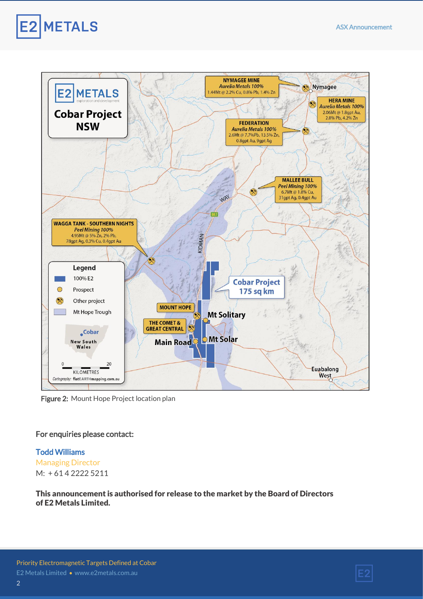



Figure 2: Mount Hope Project location plan

#### For enquiries please contact:

## Todd Williams

Managing Director  $M: +614222255211$ 

This announcement is authorised for release to the market by the Board of Directors of E2 Metals Limited.

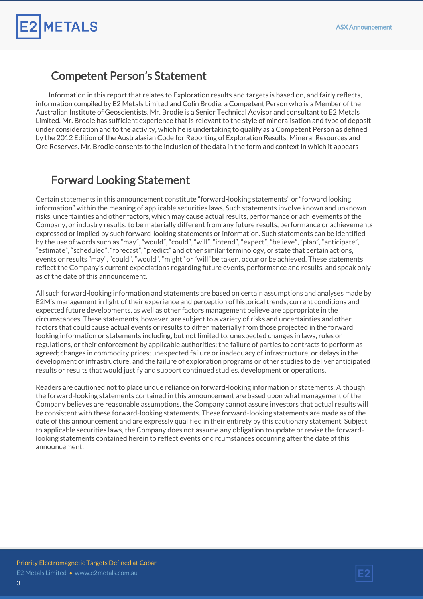#### Competent Person's Statement

**METALS** 

Information in this report that relates to Exploration results and targets is based on, and fairly reflects, information compiled by E2 Metals Limited and Colin Brodie, a Competent Person who is a Member of the Australian Institute of Geoscientists. Mr. Brodie is a Senior Technical Advisor and consultant to E2 Metals Limited. Mr. Brodie has sufficient experience that is relevant to the style of mineralisation and type of deposit under consideration and to the activity, which he is undertaking to qualify as a Competent Person as defined by the 2012 Edition of the Australasian Code for Reporting of Exploration Results, Mineral Resources and Ore Reserves. Mr. Brodie consents to the inclusion of the data in the form and context in which it appears

#### Forward Looking Statement

Certain statements in this announcement constitute "forward-looking statements" or "forward looking information" within the meaning of applicable securities laws. Such statements involve known and unknown risks, uncertainties and other factors, which may cause actual results, performance or achievements of the Company, or industry results, to be materially different from any future results, performance or achievements expressed or implied by such forward-looking statements or information. Such statements can be identified by the use of words such as "may", "would", "could", "will", "intend", "expect", "believe", "plan", "anticipate", "estimate", "scheduled", "forecast", "predict" and other similar terminology, or state that certain actions, events or results "may", "could", "would", "might" or "will" be taken, occur or be achieved. These statements reflect the Company's current expectations regarding future events, performance and results, and speak only as of the date of this announcement.

All such forward-looking information and statements are based on certain assumptions and analyses made by E2M's management in light of their experience and perception of historical trends, current conditions and expected future developments, as well as other factors management believe are appropriate in the circumstances. These statements, however, are subject to a variety of risks and uncertainties and other factors that could cause actual events or results to differ materially from those projected in the forward looking information or statements including, but not limited to, unexpected changes in laws, rules or regulations, or their enforcement by applicable authorities; the failure of parties to contracts to perform as agreed; changes in commodity prices; unexpected failure or inadequacy of infrastructure, or delays in the development of infrastructure, and the failure of exploration programs or other studies to deliver anticipated results or results that would justify and support continued studies, development or operations.

Readers are cautioned not to place undue reliance on forward-looking information or statements. Although the forward-looking statements contained in this announcement are based upon what management of the Company believes are reasonable assumptions, the Company cannot assure investors that actual results will be consistent with these forward-looking statements. These forward-looking statements are made as of the date of this announcement and are expressly qualified in their entirety by this cautionary statement. Subject to applicable securities laws, the Company does not assume any obligation to update or revise the forwardlooking statements contained herein to reflect events or circumstances occurring after the date of this announcement.

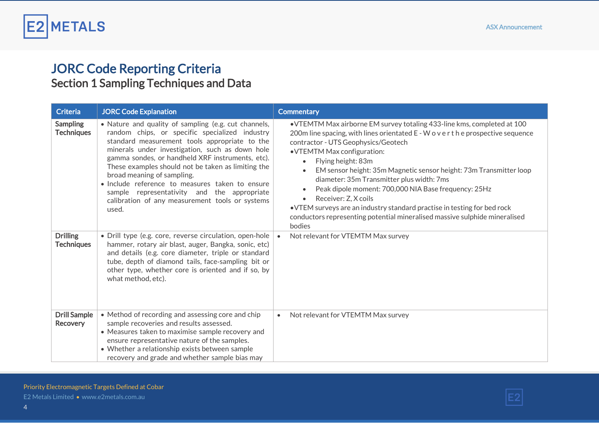

## JORC Code Reporting Criteria Section 1 Sampling Techniques and Data

| <b>Criteria</b>                        | <b>JORC Code Explanation</b>                                                                                                                                                                                                                                                                                                                                                                                                                                                                                     | <b>Commentary</b>                                                                                                                                                                                                                                                                                                                                                                                                                                                                                                                                                                                                                            |
|----------------------------------------|------------------------------------------------------------------------------------------------------------------------------------------------------------------------------------------------------------------------------------------------------------------------------------------------------------------------------------------------------------------------------------------------------------------------------------------------------------------------------------------------------------------|----------------------------------------------------------------------------------------------------------------------------------------------------------------------------------------------------------------------------------------------------------------------------------------------------------------------------------------------------------------------------------------------------------------------------------------------------------------------------------------------------------------------------------------------------------------------------------------------------------------------------------------------|
| <b>Sampling</b><br><b>Techniques</b>   | • Nature and quality of sampling (e.g. cut channels,<br>random chips, or specific specialized industry<br>standard measurement tools appropriate to the<br>minerals under investigation, such as down hole<br>gamma sondes, or handheld XRF instruments, etc).<br>These examples should not be taken as limiting the<br>broad meaning of sampling.<br>· Include reference to measures taken to ensure<br>sample representativity and the appropriate<br>calibration of any measurement tools or systems<br>used. | • VTEMTM Max airborne EM survey totaling 433-line kms, completed at 100<br>200m line spacing, with lines orientated E - W o v e r t h e prospective sequence<br>contractor - UTS Geophysics/Geotech<br>• VTEMTM Max configuration:<br>Flying height: 83m<br>EM sensor height: 35m Magnetic sensor height: 73m Transmitter loop<br>diameter: 35m Transmitter plus width: 7ms<br>Peak dipole moment: 700,000 NIA Base frequency: 25Hz<br>Receiver: Z, X coils<br>$\bullet$<br>. VTEM surveys are an industry standard practise in testing for bed rock<br>conductors representing potential mineralised massive sulphide mineralised<br>bodies |
| <b>Drilling</b><br><b>Techniques</b>   | · Drill type (e.g. core, reverse circulation, open-hole<br>hammer, rotary air blast, auger, Bangka, sonic, etc)<br>and details (e.g. core diameter, triple or standard<br>tube, depth of diamond tails, face-sampling bit or<br>other type, whether core is oriented and if so, by<br>what method, etc).                                                                                                                                                                                                         | Not relevant for VTEMTM Max survey<br>$\bullet$                                                                                                                                                                                                                                                                                                                                                                                                                                                                                                                                                                                              |
| <b>Drill Sample</b><br><b>Recovery</b> | • Method of recording and assessing core and chip<br>sample recoveries and results assessed.<br>• Measures taken to maximise sample recovery and<br>ensure representative nature of the samples.<br>• Whether a relationship exists between sample<br>recovery and grade and whether sample bias may                                                                                                                                                                                                             | Not relevant for VTEMTM Max survey<br>$\bullet$                                                                                                                                                                                                                                                                                                                                                                                                                                                                                                                                                                                              |

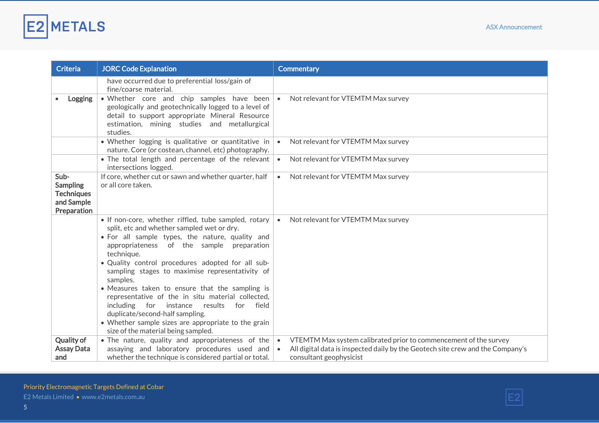

| <b>Criteria</b>                                                           | <b>JORC Code Explanation</b>                                                                                                                                                                                                                                                                                                                                                                                                                                                                                                                                                                                                    | <b>Commentary</b>                                                                                                                                                                                       |
|---------------------------------------------------------------------------|---------------------------------------------------------------------------------------------------------------------------------------------------------------------------------------------------------------------------------------------------------------------------------------------------------------------------------------------------------------------------------------------------------------------------------------------------------------------------------------------------------------------------------------------------------------------------------------------------------------------------------|---------------------------------------------------------------------------------------------------------------------------------------------------------------------------------------------------------|
|                                                                           | have occurred due to preferential loss/gain of<br>fine/coarse material.                                                                                                                                                                                                                                                                                                                                                                                                                                                                                                                                                         |                                                                                                                                                                                                         |
| Logging                                                                   | . Whether core and chip samples have been<br>geologically and geotechnically logged to a level of<br>detail to support appropriate Mineral Resource<br>estimation, mining studies and metallurgical<br>studies.                                                                                                                                                                                                                                                                                                                                                                                                                 | Not relevant for VTEMTM Max survey<br>$\bullet$                                                                                                                                                         |
|                                                                           | · Whether logging is qualitative or quantitative in<br>nature. Core (or costean, channel, etc) photography.                                                                                                                                                                                                                                                                                                                                                                                                                                                                                                                     | Not relevant for VTEMTM Max survey<br>$\bullet$                                                                                                                                                         |
|                                                                           | • The total length and percentage of the relevant<br>intersections logged.                                                                                                                                                                                                                                                                                                                                                                                                                                                                                                                                                      | Not relevant for VTEMTM Max survey<br>$\bullet$                                                                                                                                                         |
| Sub-<br><b>Sampling</b><br><b>Techniques</b><br>and Sample<br>Preparation | If core, whether cut or sawn and whether quarter, half<br>or all core taken.                                                                                                                                                                                                                                                                                                                                                                                                                                                                                                                                                    | Not relevant for VTEMTM Max survey<br>$\bullet$                                                                                                                                                         |
|                                                                           | • If non-core, whether riffled, tube sampled, rotary<br>split, etc and whether sampled wet or dry.<br>. For all sample types, the nature, quality and<br>appropriateness of the sample preparation<br>technique.<br>. Quality control procedures adopted for all sub-<br>sampling stages to maximise representativity of<br>samples.<br>• Measures taken to ensure that the sampling is<br>representative of the in situ material collected,<br>including for instance results<br>for<br>field<br>duplicate/second-half sampling.<br>• Whether sample sizes are appropriate to the grain<br>size of the material being sampled. | Not relevant for VTEMTM Max survey<br>$\bullet$                                                                                                                                                         |
| <b>Quality of</b><br><b>Assay Data</b><br>and                             | . The nature, quality and appropriateness of the<br>assaying and laboratory procedures used and<br>whether the technique is considered partial or total.                                                                                                                                                                                                                                                                                                                                                                                                                                                                        | VTEMTM Max system calibrated prior to commencement of the survey<br>$\bullet$<br>All digital data is inspected daily by the Geotech site crew and the Company's<br>$\bullet$<br>consultant geophysicist |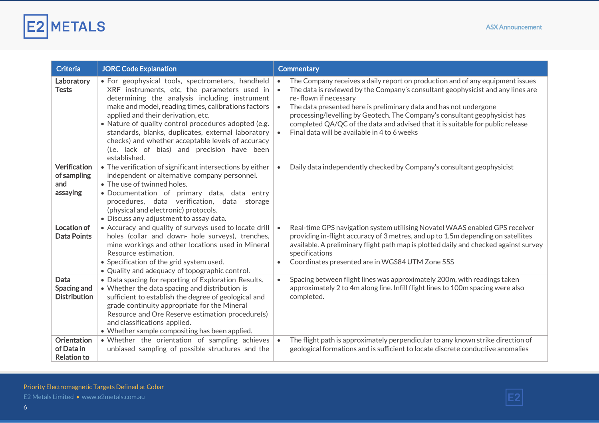

| <b>Criteria</b>                                        | <b>JORC Code Explanation</b>                                                                                                                                                                                                                                                                                                                                                                                                                                                     | <b>Commentary</b>                                                                                                                                                                                                                                                                                                                                                                                                                                                                                                                  |
|--------------------------------------------------------|----------------------------------------------------------------------------------------------------------------------------------------------------------------------------------------------------------------------------------------------------------------------------------------------------------------------------------------------------------------------------------------------------------------------------------------------------------------------------------|------------------------------------------------------------------------------------------------------------------------------------------------------------------------------------------------------------------------------------------------------------------------------------------------------------------------------------------------------------------------------------------------------------------------------------------------------------------------------------------------------------------------------------|
| Laboratory<br><b>Tests</b>                             | · For geophysical tools, spectrometers, handheld<br>XRF instruments, etc, the parameters used in<br>determining the analysis including instrument<br>make and model, reading times, calibrations factors<br>applied and their derivation, etc.<br>• Nature of quality control procedures adopted (e.g.<br>standards, blanks, duplicates, external laboratory<br>checks) and whether acceptable levels of accuracy<br>(i.e. lack of bias) and precision have been<br>established. | The Company receives a daily report on production and of any equipment issues<br>$\bullet$<br>The data is reviewed by the Company's consultant geophysicist and any lines are<br>$\bullet$<br>re-flown if necessary<br>The data presented here is preliminary data and has not undergone<br>$\bullet$<br>processing/levelling by Geotech. The Company's consultant geophysicist has<br>completed QA/QC of the data and advised that it is suitable for public release<br>Final data will be available in 4 to 6 weeks<br>$\bullet$ |
| Verification<br>of sampling<br>and<br>assaying         | • The verification of significant intersections by either<br>independent or alternative company personnel.<br>• The use of twinned holes.<br>· Documentation of primary data, data entry<br>procedures, data verification, data storage<br>(physical and electronic) protocols.<br>• Discuss any adjustment to assay data.                                                                                                                                                       | Daily data independently checked by Company's consultant geophysicist<br>$\bullet$                                                                                                                                                                                                                                                                                                                                                                                                                                                 |
| Location of<br><b>Data Points</b>                      | • Accuracy and quality of surveys used to locate drill<br>holes (collar and down- hole surveys), trenches,<br>mine workings and other locations used in Mineral<br>Resource estimation.<br>• Specification of the grid system used.<br>• Quality and adequacy of topographic control.                                                                                                                                                                                            | Real-time GPS navigation system utilising Novatel WAAS enabled GPS receiver<br>$\bullet$<br>providing in-flight accuracy of 3 metres, and up to 1.5m depending on satellites<br>available. A preliminary flight path map is plotted daily and checked against survey<br>specifications<br>Coordinates presented are in WGS84 UTM Zone 55S                                                                                                                                                                                          |
| Data<br>Spacing and<br><b>Distribution</b>             | • Data spacing for reporting of Exploration Results.<br>• Whether the data spacing and distribution is<br>sufficient to establish the degree of geological and<br>grade continuity appropriate for the Mineral<br>Resource and Ore Reserve estimation procedure(s)<br>and classifications applied.<br>• Whether sample compositing has been applied.                                                                                                                             | Spacing between flight lines was approximately 200m, with readings taken<br>$\bullet$<br>approximately 2 to 4m along line. Infill flight lines to 100m spacing were also<br>completed.                                                                                                                                                                                                                                                                                                                                             |
| <b>Orientation</b><br>of Data in<br><b>Relation to</b> | • Whether the orientation of sampling achieves<br>unbiased sampling of possible structures and the                                                                                                                                                                                                                                                                                                                                                                               | The flight path is approximately perpendicular to any known strike direction of<br>$\bullet$<br>geological formations and is sufficient to locate discrete conductive anomalies                                                                                                                                                                                                                                                                                                                                                    |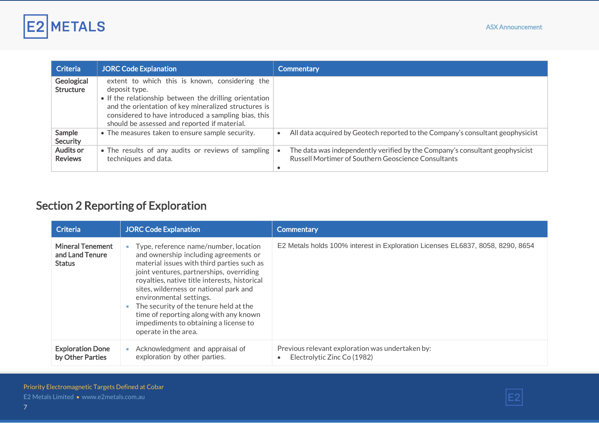

| <b>Criteria</b>                    | <b>JORC Code Explanation</b>                                                                                                                                                                                                                                                             | <b>Commentary</b>                                                                                                                   |
|------------------------------------|------------------------------------------------------------------------------------------------------------------------------------------------------------------------------------------------------------------------------------------------------------------------------------------|-------------------------------------------------------------------------------------------------------------------------------------|
| Geological<br><b>Structure</b>     | extent to which this is known, considering the<br>deposit type.<br>• If the relationship between the drilling orientation<br>and the orientation of key mineralized structures is<br>considered to have introduced a sampling bias, this<br>should be assessed and reported if material. |                                                                                                                                     |
| Sample<br>Security                 | • The measures taken to ensure sample security.                                                                                                                                                                                                                                          | All data acquired by Geotech reported to the Company's consultant geophysicist                                                      |
| <b>Audits or</b><br><b>Reviews</b> | • The results of any audits or reviews of sampling<br>techniques and data.                                                                                                                                                                                                               | The data was independently verified by the Company's consultant geophysicist<br>Russell Mortimer of Southern Geoscience Consultants |

## Section 2 Reporting of Exploration

| <b>Criteria</b>                                             | <b>JORC Code Explanation</b>                                                                                                                                                                                                                                                                                                                                                                                                                          | Commentary                                                                      |
|-------------------------------------------------------------|-------------------------------------------------------------------------------------------------------------------------------------------------------------------------------------------------------------------------------------------------------------------------------------------------------------------------------------------------------------------------------------------------------------------------------------------------------|---------------------------------------------------------------------------------|
| <b>Mineral Tenement</b><br>and Land Tenure<br><b>Status</b> | • Type, reference name/number, location<br>and ownership including agreements or<br>material issues with third parties such as<br>joint ventures, partnerships, overriding<br>royalties, native title interests, historical<br>sites, wilderness or national park and<br>environmental settings.<br>The security of the tenure held at the<br>time of reporting along with any known<br>impediments to obtaining a license to<br>operate in the area. | E2 Metals holds 100% interest in Exploration Licenses EL6837, 8058, 8290, 8654  |
| <b>Exploration Done</b><br>by Other Parties                 | Acknowledgment and appraisal of<br>exploration by other parties.                                                                                                                                                                                                                                                                                                                                                                                      | Previous relevant exploration was undertaken by:<br>Electrolytic Zinc Co (1982) |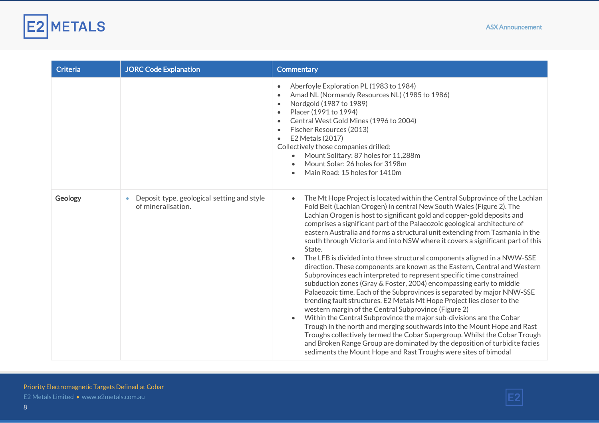

| <b>Criteria</b> | <b>JORC Code Explanation</b>                                     | <b>Commentary</b>                                                                                                                                                                                                                                                                                                                                                                                                                                                                                                                                                                                                                                                                                                                                                                                                                                                                                                                                                                                                                                                                                                                                                                                                                                                                                                                                                                                                                       |
|-----------------|------------------------------------------------------------------|-----------------------------------------------------------------------------------------------------------------------------------------------------------------------------------------------------------------------------------------------------------------------------------------------------------------------------------------------------------------------------------------------------------------------------------------------------------------------------------------------------------------------------------------------------------------------------------------------------------------------------------------------------------------------------------------------------------------------------------------------------------------------------------------------------------------------------------------------------------------------------------------------------------------------------------------------------------------------------------------------------------------------------------------------------------------------------------------------------------------------------------------------------------------------------------------------------------------------------------------------------------------------------------------------------------------------------------------------------------------------------------------------------------------------------------------|
|                 |                                                                  | Aberfoyle Exploration PL (1983 to 1984)<br>$\bullet$<br>Amad NL (Normandy Resources NL) (1985 to 1986)<br>$\bullet$<br>Nordgold (1987 to 1989)<br>$\bullet$<br>Placer (1991 to 1994)<br>$\bullet$<br>Central West Gold Mines (1996 to 2004)<br>$\bullet$<br>Fischer Resources (2013)<br>$\bullet$<br>E2 Metals (2017)<br>$\bullet$<br>Collectively those companies drilled:<br>Mount Solitary: 87 holes for 11,288m<br>$\bullet$<br>Mount Solar: 26 holes for 3198m<br>$\bullet$<br>Main Road: 15 holes for 1410m<br>$\bullet$                                                                                                                                                                                                                                                                                                                                                                                                                                                                                                                                                                                                                                                                                                                                                                                                                                                                                                          |
| Geology         | Deposit type, geological setting and style<br>of mineralisation. | The Mt Hope Project is located within the Central Subprovince of the Lachlan<br>$\bullet$<br>Fold Belt (Lachlan Orogen) in central New South Wales (Figure 2). The<br>Lachlan Orogen is host to significant gold and copper-gold deposits and<br>comprises a significant part of the Palaeozoic geological architecture of<br>eastern Australia and forms a structural unit extending from Tasmania in the<br>south through Victoria and into NSW where it covers a significant part of this<br>State.<br>The LFB is divided into three structural components aligned in a NWW-SSE<br>$\bullet$<br>direction. These components are known as the Eastern, Central and Western<br>Subprovinces each interpreted to represent specific time constrained<br>subduction zones (Gray & Foster, 2004) encompassing early to middle<br>Palaeozoic time. Each of the Subprovinces is separated by major NNW-SSE<br>trending fault structures. E2 Metals Mt Hope Project lies closer to the<br>western margin of the Central Subprovince (Figure 2)<br>Within the Central Subprovince the major sub-divisions are the Cobar<br>$\bullet$<br>Trough in the north and merging southwards into the Mount Hope and Rast<br>Troughs collectively termed the Cobar Supergroup. Whilst the Cobar Trough<br>and Broken Range Group are dominated by the deposition of turbidite facies<br>sediments the Mount Hope and Rast Troughs were sites of bimodal |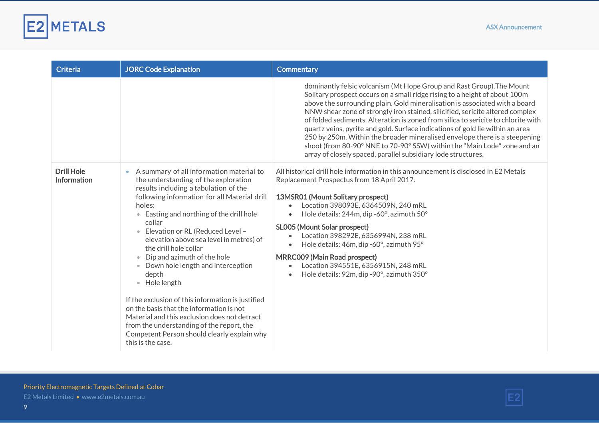

| <b>Criteria</b>                  | <b>JORC Code Explanation</b>                                                                                                                                                                                                                                                                                                                                                                                                                                                                                                                                                                                                                                                                                                                                          | <b>Commentary</b>                                                                                                                                                                                                                                                                                                                                                                                                                                                                                                                                                                                                                                                                                                    |
|----------------------------------|-----------------------------------------------------------------------------------------------------------------------------------------------------------------------------------------------------------------------------------------------------------------------------------------------------------------------------------------------------------------------------------------------------------------------------------------------------------------------------------------------------------------------------------------------------------------------------------------------------------------------------------------------------------------------------------------------------------------------------------------------------------------------|----------------------------------------------------------------------------------------------------------------------------------------------------------------------------------------------------------------------------------------------------------------------------------------------------------------------------------------------------------------------------------------------------------------------------------------------------------------------------------------------------------------------------------------------------------------------------------------------------------------------------------------------------------------------------------------------------------------------|
|                                  |                                                                                                                                                                                                                                                                                                                                                                                                                                                                                                                                                                                                                                                                                                                                                                       | dominantly felsic volcanism (Mt Hope Group and Rast Group). The Mount<br>Solitary prospect occurs on a small ridge rising to a height of about 100m<br>above the surrounding plain. Gold mineralisation is associated with a board<br>NNW shear zone of strongly iron stained, silicified, sericite altered complex<br>of folded sediments. Alteration is zoned from silica to sericite to chlorite with<br>quartz veins, pyrite and gold. Surface indications of gold lie within an area<br>250 by 250m. Within the broader mineralised envelope there is a steepening<br>shoot (from 80-90° NNE to 70-90° SSW) within the "Main Lode" zone and an<br>array of closely spaced, parallel subsidiary lode structures. |
| <b>Drill Hole</b><br>Information | • A summary of all information material to<br>the understanding of the exploration<br>results including a tabulation of the<br>following information for all Material drill<br>holes:<br>Easting and northing of the drill hole<br>$\bullet$<br>collar<br>Elevation or RL (Reduced Level -<br>$\bullet$<br>elevation above sea level in metres) of<br>the drill hole collar<br>• Dip and azimuth of the hole<br>Down hole length and interception<br>$\bullet$<br>depth<br>Hole length<br>$\bullet$<br>If the exclusion of this information is justified<br>on the basis that the information is not<br>Material and this exclusion does not detract<br>from the understanding of the report, the<br>Competent Person should clearly explain why<br>this is the case. | All historical drill hole information in this announcement is disclosed in E2 Metals<br>Replacement Prospectus from 18 April 2017.<br>13MSR01 (Mount Solitary prospect)<br>Location 398093E, 6364509N, 240 mRL<br>Hole details: 244m, dip -60°, azimuth 50°<br>SL005 (Mount Solar prospect)<br>Location 398292E, 6356994N, 238 mRL<br>Hole details: 46m, dip -60°, azimuth 95°<br><b>MRRC009 (Main Road prospect)</b><br>Location 394551E, 6356915N, 248 mRL<br>$\bullet$<br>Hole details: 92m, dip - 90°, azimuth 350°                                                                                                                                                                                              |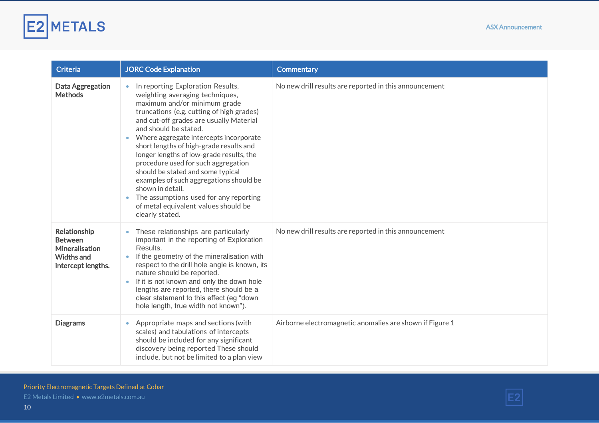

| Criteria                                                                                           | <b>JORC Code Explanation</b>                                                                                                                                                                                                                                                                                                                                                                                                                                                                                                                                                                           | <b>Commentary</b>                                        |
|----------------------------------------------------------------------------------------------------|--------------------------------------------------------------------------------------------------------------------------------------------------------------------------------------------------------------------------------------------------------------------------------------------------------------------------------------------------------------------------------------------------------------------------------------------------------------------------------------------------------------------------------------------------------------------------------------------------------|----------------------------------------------------------|
| Data Aggregation<br><b>Methods</b>                                                                 | In reporting Exploration Results,<br>weighting averaging techniques,<br>maximum and/or minimum grade<br>truncations (e.g. cutting of high grades)<br>and cut-off grades are usually Material<br>and should be stated.<br>Where aggregate intercepts incorporate<br>short lengths of high-grade results and<br>longer lengths of low-grade results, the<br>procedure used for such aggregation<br>should be stated and some typical<br>examples of such aggregations should be<br>shown in detail.<br>The assumptions used for any reporting<br>of metal equivalent values should be<br>clearly stated. | No new drill results are reported in this announcement   |
| Relationship<br><b>Between</b><br><b>Mineralisation</b><br><b>Widths and</b><br>intercept lengths. | These relationships are particularly<br>important in the reporting of Exploration<br>Results.<br>If the geometry of the mineralisation with<br>respect to the drill hole angle is known, its<br>nature should be reported.<br>If it is not known and only the down hole<br>lengths are reported, there should be a<br>clear statement to this effect (eg "down<br>hole length, true width not known").                                                                                                                                                                                                 | No new drill results are reported in this announcement   |
| <b>Diagrams</b>                                                                                    | Appropriate maps and sections (with<br>scales) and tabulations of intercepts<br>should be included for any significant<br>discovery being reported These should<br>include, but not be limited to a plan view                                                                                                                                                                                                                                                                                                                                                                                          | Airborne electromagnetic anomalies are shown if Figure 1 |